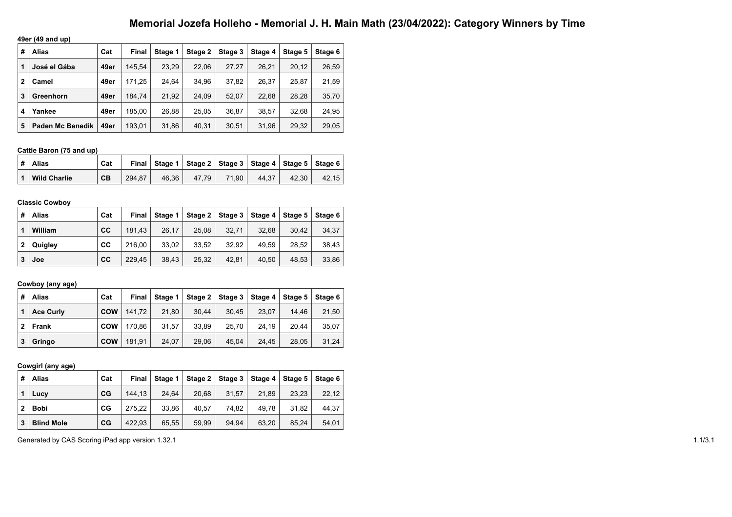# **Memorial Jozefa Holleho - Memorial J. H. Main Math (23/04/2022): Category Winners by Time**

**49er (49 and up)**

| # | Alias                   | Cat  | <b>Final</b> | Stage 1 | Stage 2 | Stage 3 | Stage 4 | Stage 5 | Stage 6 |
|---|-------------------------|------|--------------|---------|---------|---------|---------|---------|---------|
|   | José el Gába            | 49er | 145.54       | 23.29   | 22.06   | 27,27   | 26.21   | 20.12   | 26,59   |
| 2 | Camel                   | 49er | 171.25       | 24.64   | 34.96   | 37,82   | 26.37   | 25.87   | 21,59   |
| 3 | Greenhorn               | 49er | 184.74       | 21.92   | 24.09   | 52.07   | 22.68   | 28,28   | 35,70   |
| 4 | Yankee                  | 49er | 185.00       | 26.88   | 25.05   | 36,87   | 38.57   | 32.68   | 24,95   |
| 5 | <b>Paden Mc Benedik</b> | 49er | 193.01       | 31,86   | 40,31   | 30.51   | 31,96   | 29,32   | 29,05   |

### **Cattle Baron (75 and up)**

| ∣#∣Alias            | Cat |        |       |       |       |       | Final   Stage 1   Stage 2   Stage 3   Stage 4   Stage 5   Stage 6 |       |
|---------------------|-----|--------|-------|-------|-------|-------|-------------------------------------------------------------------|-------|
| <b>Wild Charlie</b> | CB  | 294.87 | 46.36 | 47.79 | 71.90 | 44.37 | 42.30                                                             | 42.15 |

### **Classic Cowboy**

| # | <b>Alias</b> | Cat | Final  | Stage 1 |       | Stage $2 \mid$ Stage $3 \mid$ | Stage 4 $ $ | 。Stage 5 I | Stage 6 |
|---|--------------|-----|--------|---------|-------|-------------------------------|-------------|------------|---------|
|   | William      | cc  | 181.43 | 26.17   | 25.08 | 32.71                         | 32.68       | 30.42      | 34,37   |
| 2 | Quigley      | CC  | 216.00 | 33.02   | 33.52 | 32.92                         | 49.59       | 28.52      | 38,43   |
| 3 | Joe          | cc  | 229.45 | 38.43   | 25,32 | 42.81                         | 40.50       | 48.53      | 33,86   |

## **Cowboy (any age)**

| #            | Alias            | Cat        | Final  | Stage 1 |       |       |       | Stage 2   Stage 3   Stage 4   Stage 5   Stage 6 |       |
|--------------|------------------|------------|--------|---------|-------|-------|-------|-------------------------------------------------|-------|
|              | <b>Ace Curly</b> | <b>COW</b> | 141.72 | 21.80   | 30.44 | 30.45 | 23.07 | 14.46                                           | 21,50 |
| $\mathbf{2}$ | Frank            | <b>COW</b> | 170.86 | 31.57   | 33.89 | 25.70 | 24.19 | 20.44                                           | 35,07 |
| 3            | Gringo           | <b>COW</b> | 181.91 | 24,07   | 29,06 | 45.04 | 24.45 | 28.05                                           | 31,24 |

# **Cowgirl (any age)**

| #            | <b>Alias</b>      | Cat | Final  | Stage 1 |       | Stage $2 \mid$ Stage 3 | Stage 4 | Stage 5 | Stage 6 |
|--------------|-------------------|-----|--------|---------|-------|------------------------|---------|---------|---------|
|              | Lucy              | CG  | 144,13 | 24.64   | 20,68 | 31,57                  | 21.89   | 23.23   | 22,12   |
| $\mathbf{2}$ | <b>Bobi</b>       | CG  | 275.22 | 33.86   | 40.57 | 74.82                  | 49.78   | 31.82   | 44,37   |
| 3            | <b>Blind Mole</b> | CG  | 422.93 | 65.55   | 59,99 | 94,94                  | 63.20   | 85.24   | 54,01   |

Generated by CAS Scoring iPad app version 1.32.1 1.1/3.1 1.1/3.1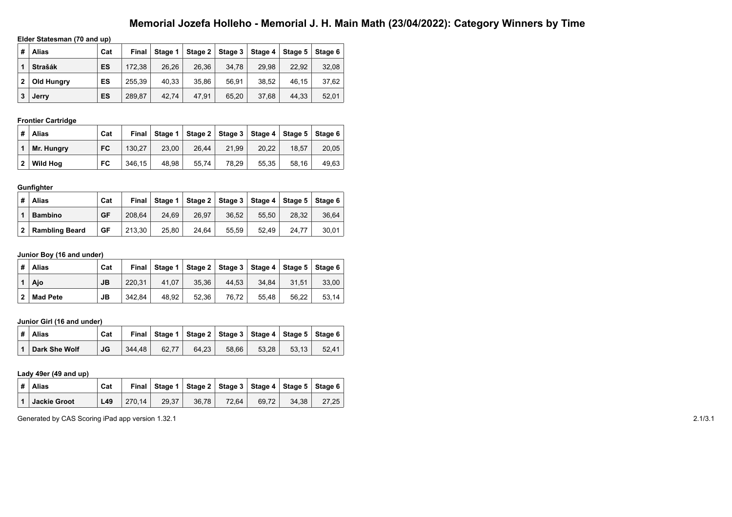# **Memorial Jozefa Holleho - Memorial J. H. Main Math (23/04/2022): Category Winners by Time**

## **Elder Statesman (70 and up)**

| # | <b>Alias</b>   | Cat | Final  | Stage 1 | Stage 2 | Stage $3 \mid$ | Stage 4 | Stage 5 | Stage 6 |
|---|----------------|-----|--------|---------|---------|----------------|---------|---------|---------|
|   | <b>Strašák</b> | ES  | 172.38 | 26,26   | 26.36   | 34.78          | 29.98   | 22.92   | 32,08   |
| 2 | Old Hungry     | ES  | 255.39 | 40,33   | 35.86   | 56.91          | 38.52   | 46.15   | 37,62   |
| 3 | Jerry          | ES  | 289.87 | 42.74   | 47.91   | 65,20          | 37.68   | 44.33   | 52,01   |

# **Frontier Cartridge**

| # | <b>Alias</b>    | Cat       | Final  | Stage 1 |       |       |       | Stage 2   Stage 3   Stage 4   Stage 5   Stage 6 |       |
|---|-----------------|-----------|--------|---------|-------|-------|-------|-------------------------------------------------|-------|
|   | Mr. Hungry      | <b>FC</b> | 130.27 | 23.00   | 26.44 | 21.99 | 20.22 | 18.57                                           | 20.05 |
| 2 | <b>Wild Hoa</b> | FC        | 346.15 | 48.98   | 55.74 | 78.29 | 55.35 | 58.16                                           | 49.63 |

#### **Gunfighter**

| # | <b>Alias</b>          | Cat | Final  | Stage 1 |       | Stage 2   Stage 3   Stage 4   Stage 5   Stage 6 |       |       |       |
|---|-----------------------|-----|--------|---------|-------|-------------------------------------------------|-------|-------|-------|
|   | <b>Bambino</b>        | GF  | 208.64 | 24.69   | 26.97 | 36.52                                           | 55.50 | 28.32 | 36.64 |
| 2 | <b>Rambling Beard</b> | GF  | 213.30 | 25.80   | 24.64 | 55.59                                           | 52.49 | 24.77 | 30.01 |

## **Junior Boy (16 and under)**

| #            | <b>Alias</b>    | Cat | Final  |       | Stage 1   Stage 2   Stage 3   Stage 4   Stage 5   Stage 6 |       |       |       |       |
|--------------|-----------------|-----|--------|-------|-----------------------------------------------------------|-------|-------|-------|-------|
|              | Ajo             | JB  | 220.31 | 41.07 | 35.36                                                     | 44.53 | 34.84 | 31.51 | 33.00 |
| $\mathbf{2}$ | <b>Mad Pete</b> | JВ  | 342.84 | 48.92 | 52.36                                                     | 76.72 | 55.48 | 56.22 | 53.14 |

## **Junior Girl (16 and under)**

| #            | Alias         | Cat |        |       | Final Stage 1   Stage 2   Stage 3   Stage 4   Stage 5   Stage 6 |       |       |       |       |
|--------------|---------------|-----|--------|-------|-----------------------------------------------------------------|-------|-------|-------|-------|
| $\mathbf{1}$ | Dark She Wolf | JG  | 344.48 | 62.77 | 64.23                                                           | 58.66 | 53.28 | 53.13 | 52.41 |

#### **Lady 49er (49 and up)**

|                   | $\vert$ # $\vert$ Alias | Cat |        |       | Final   Stage 1   Stage 2   Stage 3   Stage 4   Stage 5   Stage 6 |       |       |       |       |
|-------------------|-------------------------|-----|--------|-------|-------------------------------------------------------------------|-------|-------|-------|-------|
| $\vert$ 1 $\vert$ | Jackie Groot            | L49 | 270.14 | 29.37 | 36.78                                                             | 72.64 | 69.72 | 34.38 | 27.25 |

Generated by CAS Scoring iPad app version 1.32.1 2.1/3.1 2.1/3.1